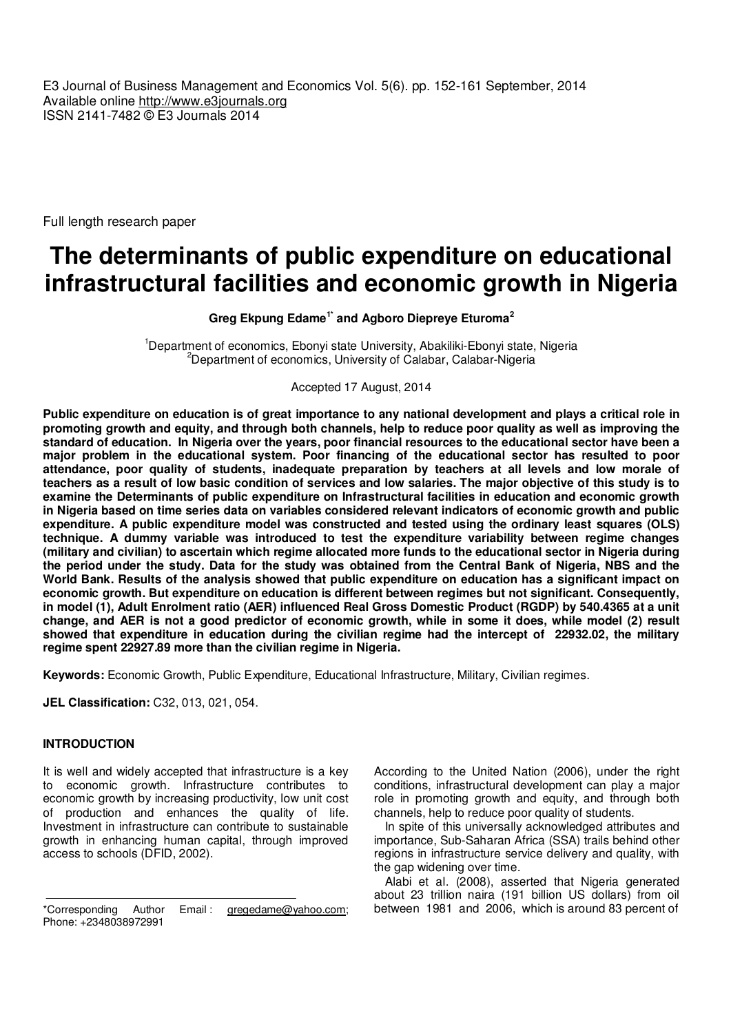E3 Journal of Business Management and Economics Vol. 5(6). pp. 152-161 September, 2014 Available online http://www.e3journals.org ISSN 2141-7482 © E3 Journals 2014

Full length research paper

# **The determinants of public expenditure on educational infrastructural facilities and economic growth in Nigeria**

**Greg Ekpung Edame1\* and Agboro Diepreye Eturoma<sup>2</sup>**

<sup>1</sup>Department of economics, Ebonyi state University, Abakiliki-Ebonyi state, Nigeria <sup>2</sup>Department of economics, University of Calabar, Calabar-Nigeria

Accepted 17 August, 2014

**Public expenditure on education is of great importance to any national development and plays a critical role in promoting growth and equity, and through both channels, help to reduce poor quality as well as improving the standard of education. In Nigeria over the years, poor financial resources to the educational sector have been a major problem in the educational system. Poor financing of the educational sector has resulted to poor attendance, poor quality of students, inadequate preparation by teachers at all levels and low morale of teachers as a result of low basic condition of services and low salaries. The major objective of this study is to examine the Determinants of public expenditure on Infrastructural facilities in education and economic growth in Nigeria based on time series data on variables considered relevant indicators of economic growth and public expenditure. A public expenditure model was constructed and tested using the ordinary least squares (OLS) technique. A dummy variable was introduced to test the expenditure variability between regime changes (military and civilian) to ascertain which regime allocated more funds to the educational sector in Nigeria during the period under the study. Data for the study was obtained from the Central Bank of Nigeria, NBS and the World Bank. Results of the analysis showed that public expenditure on education has a significant impact on economic growth. But expenditure on education is different between regimes but not significant. Consequently, in model (1), Adult Enrolment ratio (AER) influenced Real Gross Domestic Product (RGDP) by 540.4365 at a unit change, and AER is not a good predictor of economic growth, while in some it does, while model (2) result showed that expenditure in education during the civilian regime had the intercept of 22932.02, the military regime spent 22927.89 more than the civilian regime in Nigeria.** 

**Keywords:** Economic Growth, Public Expenditure, Educational Infrastructure, Military, Civilian regimes.

**JEL Classification:** C32, 013, 021, 054.

#### **INTRODUCTION**

It is well and widely accepted that infrastructure is a key to economic growth. Infrastructure contributes to economic growth by increasing productivity, low unit cost of production and enhances the quality of life. Investment in infrastructure can contribute to sustainable growth in enhancing human capital, through improved access to schools (DFID, 2002).

According to the United Nation (2006), under the right conditions, infrastructural development can play a major role in promoting growth and equity, and through both channels, help to reduce poor quality of students.

In spite of this universally acknowledged attributes and importance, Sub-Saharan Africa (SSA) trails behind other regions in infrastructure service delivery and quality, with the gap widening over time.

Alabi et al. (2008), asserted that Nigeria generated about 23 trillion naira (191 billion US dollars) from oil between 1981 and 2006, which is around 83 percent of

<sup>\*</sup>Corresponding Author Email : gregedame@yahoo.com; Phone: +2348038972991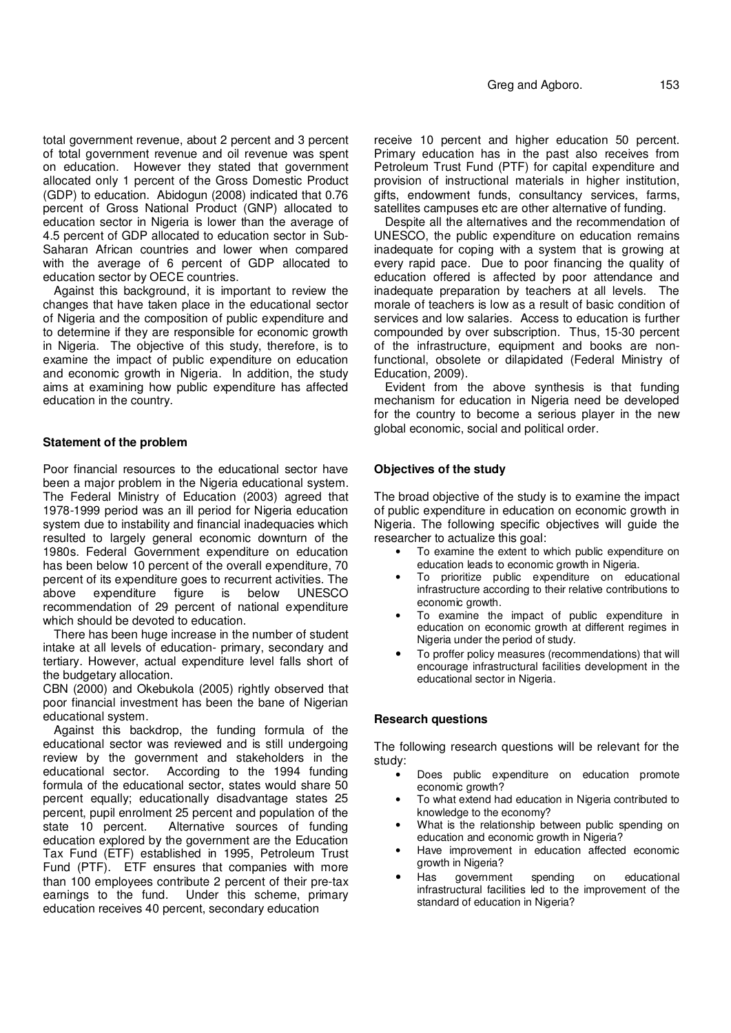total government revenue, about 2 percent and 3 percent of total government revenue and oil revenue was spent on education. However they stated that government allocated only 1 percent of the Gross Domestic Product (GDP) to education. Abidogun (2008) indicated that 0.76 percent of Gross National Product (GNP) allocated to education sector in Nigeria is lower than the average of 4.5 percent of GDP allocated to education sector in Sub-Saharan African countries and lower when compared with the average of 6 percent of GDP allocated to education sector by OECE countries.

Against this background, it is important to review the changes that have taken place in the educational sector of Nigeria and the composition of public expenditure and to determine if they are responsible for economic growth in Nigeria. The objective of this study, therefore, is to examine the impact of public expenditure on education and economic growth in Nigeria. In addition, the study aims at examining how public expenditure has affected education in the country.

### **Statement of the problem**

Poor financial resources to the educational sector have been a major problem in the Nigeria educational system. The Federal Ministry of Education (2003) agreed that 1978-1999 period was an ill period for Nigeria education system due to instability and financial inadequacies which resulted to largely general economic downturn of the 1980s. Federal Government expenditure on education has been below 10 percent of the overall expenditure, 70 percent of its expenditure goes to recurrent activities. The above expenditure figure is below recommendation of 29 percent of national expenditure which should be devoted to education.

There has been huge increase in the number of student intake at all levels of education- primary, secondary and tertiary. However, actual expenditure level falls short of the budgetary allocation.

CBN (2000) and Okebukola (2005) rightly observed that poor financial investment has been the bane of Nigerian educational system.

Against this backdrop, the funding formula of the educational sector was reviewed and is still undergoing review by the government and stakeholders in the educational sector. According to the 1994 funding According to the 1994 funding formula of the educational sector, states would share 50 percent equally; educationally disadvantage states 25 percent, pupil enrolment 25 percent and population of the state 10 percent. Alternative sources of funding education explored by the government are the Education Tax Fund (ETF) established in 1995, Petroleum Trust Fund (PTF). ETF ensures that companies with more than 100 employees contribute 2 percent of their pre-tax earnings to the fund. Under this scheme, primary education receives 40 percent, secondary education

receive 10 percent and higher education 50 percent. Primary education has in the past also receives from Petroleum Trust Fund (PTF) for capital expenditure and provision of instructional materials in higher institution, gifts, endowment funds, consultancy services, farms, satellites campuses etc are other alternative of funding.

Despite all the alternatives and the recommendation of UNESCO, the public expenditure on education remains inadequate for coping with a system that is growing at every rapid pace. Due to poor financing the quality of education offered is affected by poor attendance and inadequate preparation by teachers at all levels. The morale of teachers is low as a result of basic condition of services and low salaries. Access to education is further compounded by over subscription. Thus, 15-30 percent of the infrastructure, equipment and books are nonfunctional, obsolete or dilapidated (Federal Ministry of Education, 2009).

Evident from the above synthesis is that funding mechanism for education in Nigeria need be developed for the country to become a serious player in the new global economic, social and political order.

### **Objectives of the study**

The broad objective of the study is to examine the impact of public expenditure in education on economic growth in Nigeria. The following specific objectives will guide the researcher to actualize this goal:

- To examine the extent to which public expenditure on education leads to economic growth in Nigeria.
- To prioritize public expenditure on educational infrastructure according to their relative contributions to economic growth.
- To examine the impact of public expenditure in education on economic growth at different regimes in Nigeria under the period of study.
- To proffer policy measures (recommendations) that will encourage infrastructural facilities development in the educational sector in Nigeria.

#### **Research questions**

The following research questions will be relevant for the study:

- Does public expenditure on education promote economic growth?
- To what extend had education in Nigeria contributed to knowledge to the economy?
- What is the relationship between public spending on education and economic growth in Nigeria?
- Have improvement in education affected economic growth in Nigeria?
- Has government spending on educational infrastructural facilities led to the improvement of the standard of education in Nigeria?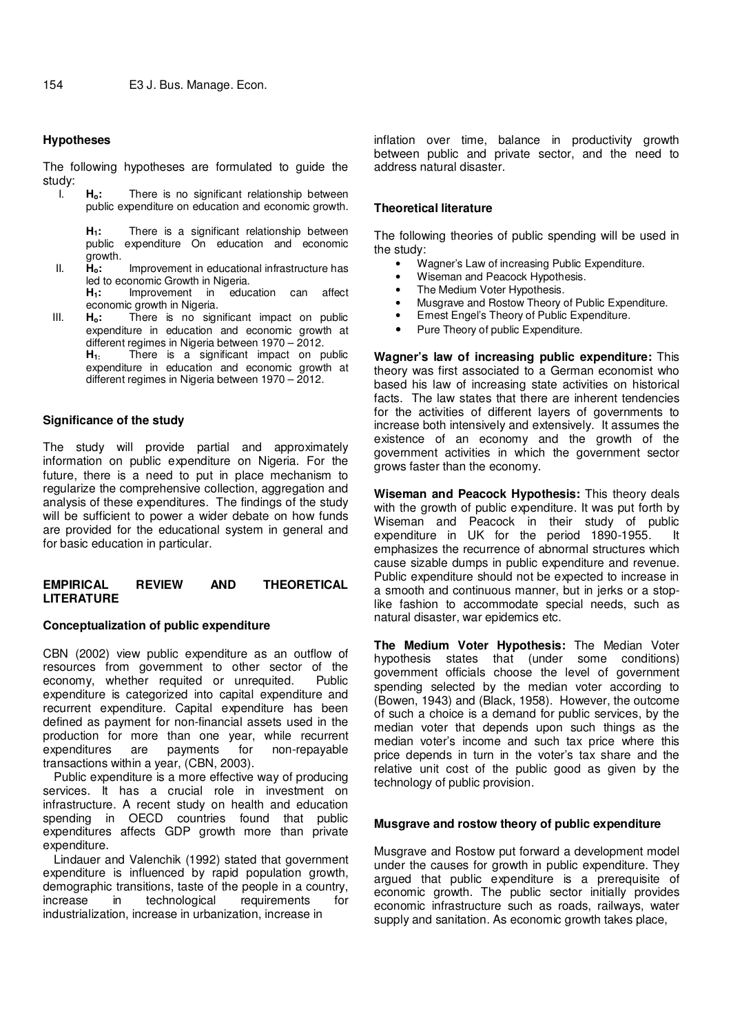## **Hypotheses**

The following hypotheses are formulated to guide the study:<br>|

H<sub>o</sub>: There is no significant relationship between public expenditure on education and economic growth.

**H1:** There is a significant relationship between public expenditure On education and economic growth.

- II. **Ho:** Improvement in educational infrastructure has led to economic Growth in Nigeria.<br>**H**<sub>1</sub>: Improvement in educ
	- **H1:** Improvement in education can affect economic growth in Nigeria.
- III. **Ho:** There is no significant impact on public expenditure in education and economic growth at different regimes in Nigeria between 1970 – 2012.
	- **H1:** There is a significant impact on public expenditure in education and economic growth at different regimes in Nigeria between 1970 – 2012.

#### **Significance of the study**

The study will provide partial and approximately information on public expenditure on Nigeria. For the future, there is a need to put in place mechanism to regularize the comprehensive collection, aggregation and analysis of these expenditures. The findings of the study will be sufficient to power a wider debate on how funds are provided for the educational system in general and for basic education in particular.

## **EMPIRICAL REVIEW AND THEORETICAL LITERATURE**

## **Conceptualization of public expenditure**

CBN (2002) view public expenditure as an outflow of resources from government to other sector of the economy, whether requited or unrequited. Public expenditure is categorized into capital expenditure and recurrent expenditure. Capital expenditure has been defined as payment for non-financial assets used in the production for more than one year, while recurrent expenditures are payments for non-repayable transactions within a year, (CBN, 2003).

Public expenditure is a more effective way of producing services. It has a crucial role in investment on infrastructure. A recent study on health and education spending in OECD countries found that public expenditures affects GDP growth more than private expenditure.

Lindauer and Valenchik (1992) stated that government expenditure is influenced by rapid population growth, demographic transitions, taste of the people in a country, increase in technological requirements for industrialization, increase in urbanization, increase in

inflation over time, balance in productivity growth between public and private sector, and the need to address natural disaster.

## **Theoretical literature**

The following theories of public spending will be used in the study:

- Wagner's Law of increasing Public Expenditure.
- Wiseman and Peacock Hypothesis.
- The Medium Voter Hypothesis.
- Musgrave and Rostow Theory of Public Expenditure.
- Ernest Engel's Theory of Public Expenditure.
- Pure Theory of public Expenditure.

**Wagner's law of increasing public expenditure:** This theory was first associated to a German economist who based his law of increasing state activities on historical facts. The law states that there are inherent tendencies for the activities of different layers of governments to increase both intensively and extensively. It assumes the existence of an economy and the growth of the government activities in which the government sector grows faster than the economy.

**Wiseman and Peacock Hypothesis:** This theory deals with the growth of public expenditure. It was put forth by Wiseman and Peacock in their study of public expenditure in UK for the period 1890-1955. It emphasizes the recurrence of abnormal structures which cause sizable dumps in public expenditure and revenue. Public expenditure should not be expected to increase in a smooth and continuous manner, but in jerks or a stoplike fashion to accommodate special needs, such as natural disaster, war epidemics etc.

**The Medium Voter Hypothesis:** The Median Voter hypothesis states that (under some conditions) government officials choose the level of government spending selected by the median voter according to (Bowen, 1943) and (Black, 1958). However, the outcome of such a choice is a demand for public services, by the median voter that depends upon such things as the median voter's income and such tax price where this price depends in turn in the voter's tax share and the relative unit cost of the public good as given by the technology of public provision.

#### **Musgrave and rostow theory of public expenditure**

Musgrave and Rostow put forward a development model under the causes for growth in public expenditure. They argued that public expenditure is a prerequisite of economic growth. The public sector initially provides economic infrastructure such as roads, railways, water supply and sanitation. As economic growth takes place,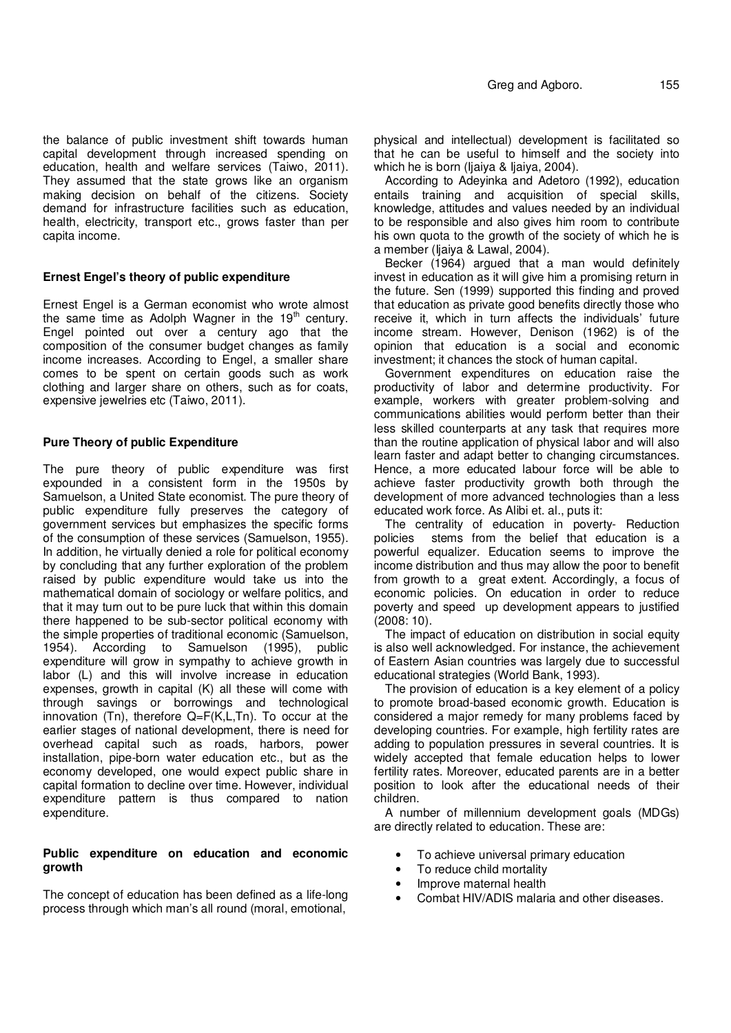the balance of public investment shift towards human capital development through increased spending on education, health and welfare services (Taiwo, 2011). They assumed that the state grows like an organism making decision on behalf of the citizens. Society demand for infrastructure facilities such as education, health, electricity, transport etc., grows faster than per capita income.

## **Ernest Engel's theory of public expenditure**

Ernest Engel is a German economist who wrote almost the same time as Adolph Wagner in the  $19<sup>th</sup>$  century. Engel pointed out over a century ago that the composition of the consumer budget changes as family income increases. According to Engel, a smaller share comes to be spent on certain goods such as work clothing and larger share on others, such as for coats, expensive jewelries etc (Taiwo, 2011).

### **Pure Theory of public Expenditure**

The pure theory of public expenditure was first expounded in a consistent form in the 1950s by Samuelson, a United State economist. The pure theory of public expenditure fully preserves the category of government services but emphasizes the specific forms of the consumption of these services (Samuelson, 1955). In addition, he virtually denied a role for political economy by concluding that any further exploration of the problem raised by public expenditure would take us into the mathematical domain of sociology or welfare politics, and that it may turn out to be pure luck that within this domain there happened to be sub-sector political economy with the simple properties of traditional economic (Samuelson, 1954). According to Samuelson (1995), public expenditure will grow in sympathy to achieve growth in labor (L) and this will involve increase in education expenses, growth in capital (K) all these will come with through savings or borrowings and technological innovation (Tn), therefore Q=F(K,L,Tn). To occur at the earlier stages of national development, there is need for overhead capital such as roads, harbors, power installation, pipe-born water education etc., but as the economy developed, one would expect public share in capital formation to decline over time. However, individual expenditure pattern is thus compared to nation expenditure.

## **Public expenditure on education and economic growth**

The concept of education has been defined as a life-long process through which man's all round (moral, emotional,

physical and intellectual) development is facilitated so that he can be useful to himself and the society into which he is born (Ijaiya & Ijaiya, 2004).

According to Adeyinka and Adetoro (1992), education entails training and acquisition of special skills, knowledge, attitudes and values needed by an individual to be responsible and also gives him room to contribute his own quota to the growth of the society of which he is a member (Ijaiya & Lawal, 2004).

Becker (1964) argued that a man would definitely invest in education as it will give him a promising return in the future. Sen (1999) supported this finding and proved that education as private good benefits directly those who receive it, which in turn affects the individuals' future income stream. However, Denison (1962) is of the opinion that education is a social and economic investment; it chances the stock of human capital.

Government expenditures on education raise the productivity of labor and determine productivity. For example, workers with greater problem-solving and communications abilities would perform better than their less skilled counterparts at any task that requires more than the routine application of physical labor and will also learn faster and adapt better to changing circumstances. Hence, a more educated labour force will be able to achieve faster productivity growth both through the development of more advanced technologies than a less educated work force. As Alibi et. al., puts it:

The centrality of education in poverty- Reduction policies stems from the belief that education is a powerful equalizer. Education seems to improve the income distribution and thus may allow the poor to benefit from growth to a great extent. Accordingly, a focus of economic policies. On education in order to reduce poverty and speed up development appears to justified (2008: 10).

The impact of education on distribution in social equity is also well acknowledged. For instance, the achievement of Eastern Asian countries was largely due to successful educational strategies (World Bank, 1993).

The provision of education is a key element of a policy to promote broad-based economic growth. Education is considered a major remedy for many problems faced by developing countries. For example, high fertility rates are adding to population pressures in several countries. It is widely accepted that female education helps to lower fertility rates. Moreover, educated parents are in a better position to look after the educational needs of their children.

A number of millennium development goals (MDGs) are directly related to education. These are:

- To achieve universal primary education
- To reduce child mortality
- Improve maternal health
- Combat HIV/ADIS malaria and other diseases.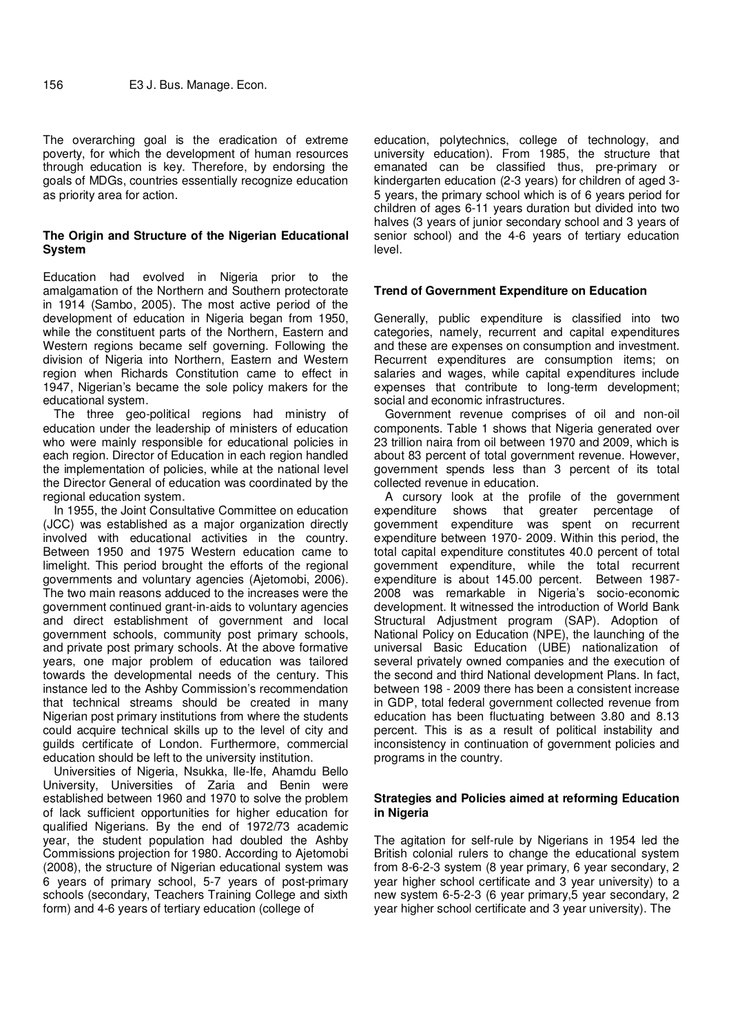The overarching goal is the eradication of extreme poverty, for which the development of human resources through education is key. Therefore, by endorsing the goals of MDGs, countries essentially recognize education as priority area for action.

## **The Origin and Structure of the Nigerian Educational System**

Education had evolved in Nigeria prior to the amalgamation of the Northern and Southern protectorate in 1914 (Sambo, 2005). The most active period of the development of education in Nigeria began from 1950, while the constituent parts of the Northern, Eastern and Western regions became self governing. Following the division of Nigeria into Northern, Eastern and Western region when Richards Constitution came to effect in 1947, Nigerian's became the sole policy makers for the educational system.

The three geo-political regions had ministry of education under the leadership of ministers of education who were mainly responsible for educational policies in each region. Director of Education in each region handled the implementation of policies, while at the national level the Director General of education was coordinated by the regional education system.

In 1955, the Joint Consultative Committee on education (JCC) was established as a major organization directly involved with educational activities in the country. Between 1950 and 1975 Western education came to limelight. This period brought the efforts of the regional governments and voluntary agencies (Ajetomobi, 2006). The two main reasons adduced to the increases were the government continued grant-in-aids to voluntary agencies and direct establishment of government and local government schools, community post primary schools, and private post primary schools. At the above formative years, one major problem of education was tailored towards the developmental needs of the century. This instance led to the Ashby Commission's recommendation that technical streams should be created in many Nigerian post primary institutions from where the students could acquire technical skills up to the level of city and guilds certificate of London. Furthermore, commercial education should be left to the university institution.

Universities of Nigeria, Nsukka, Ile-Ife, Ahamdu Bello University, Universities of Zaria and Benin were established between 1960 and 1970 to solve the problem of lack sufficient opportunities for higher education for qualified Nigerians. By the end of 1972/73 academic year, the student population had doubled the Ashby Commissions projection for 1980. According to Ajetomobi (2008), the structure of Nigerian educational system was 6 years of primary school, 5-7 years of post-primary schools (secondary, Teachers Training College and sixth form) and 4-6 years of tertiary education (college of

education, polytechnics, college of technology, and university education). From 1985, the structure that emanated can be classified thus, pre-primary or kindergarten education (2-3 years) for children of aged 3- 5 years, the primary school which is of 6 years period for children of ages 6-11 years duration but divided into two halves (3 years of junior secondary school and 3 years of senior school) and the 4-6 years of tertiary education level.

#### **Trend of Government Expenditure on Education**

Generally, public expenditure is classified into two categories, namely, recurrent and capital expenditures and these are expenses on consumption and investment. Recurrent expenditures are consumption items; on salaries and wages, while capital expenditures include expenses that contribute to long-term development; social and economic infrastructures.

Government revenue comprises of oil and non-oil components. Table 1 shows that Nigeria generated over 23 trillion naira from oil between 1970 and 2009, which is about 83 percent of total government revenue. However, government spends less than 3 percent of its total collected revenue in education.

A cursory look at the profile of the government expenditure shows that greater percentage of government expenditure was spent on recurrent expenditure between 1970- 2009. Within this period, the total capital expenditure constitutes 40.0 percent of total government expenditure, while the total recurrent expenditure is about 145.00 percent. Between 1987- 2008 was remarkable in Nigeria's socio-economic development. It witnessed the introduction of World Bank Structural Adjustment program (SAP). Adoption of National Policy on Education (NPE), the launching of the universal Basic Education (UBE) nationalization of several privately owned companies and the execution of the second and third National development Plans. In fact, between 198 - 2009 there has been a consistent increase in GDP, total federal government collected revenue from education has been fluctuating between 3.80 and 8.13 percent. This is as a result of political instability and inconsistency in continuation of government policies and programs in the country.

## **Strategies and Policies aimed at reforming Education in Nigeria**

The agitation for self-rule by Nigerians in 1954 led the British colonial rulers to change the educational system from 8-6-2-3 system (8 year primary, 6 year secondary, 2 year higher school certificate and 3 year university) to a new system 6-5-2-3 (6 year primary,5 year secondary, 2 year higher school certificate and 3 year university). The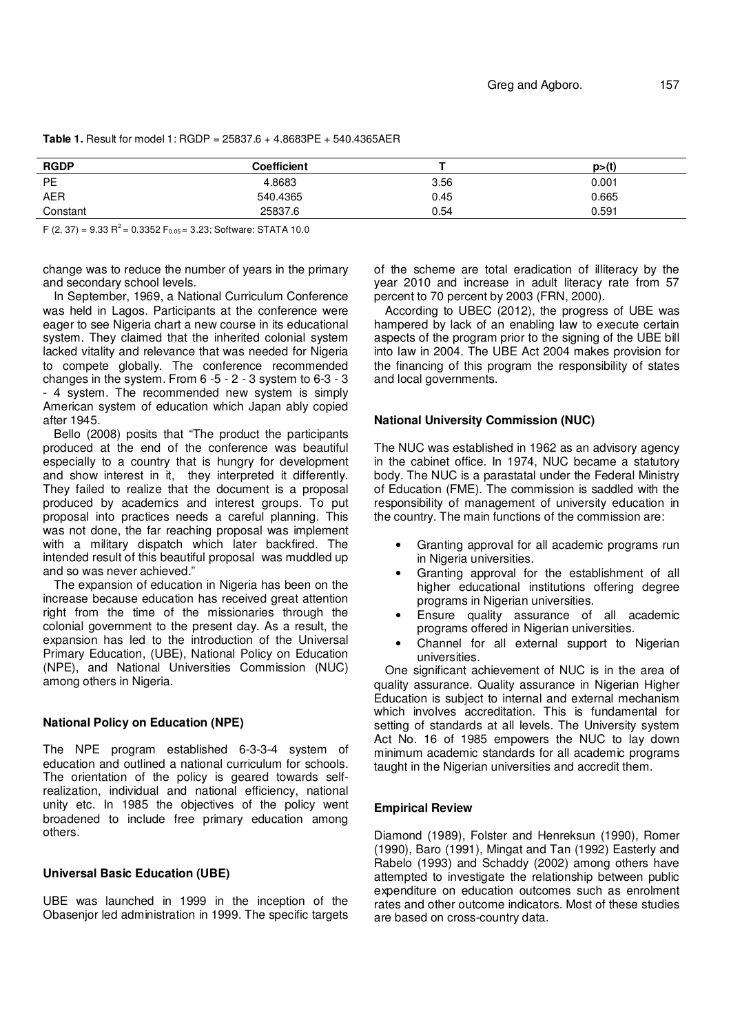| <b>RGDP</b> | <b>Coefficient</b> |      | p>(t) |
|-------------|--------------------|------|-------|
| PE          | 4.8683             | 3.56 | 0.001 |
| <b>AER</b>  | 540.4365           | 0.45 | 0.665 |
| Constant    | 25837.6            | 0.54 | 0.591 |

**Table 1.** Result for model 1: RGDP = 25837.6 + 4.8683PE + 540.4365AER

F (2, 37) = 9.33 R<sup>2</sup> = 0.3352 F<sub>0.05</sub> = 3.23; Software: STATA 10.0

change was to reduce the number of years in the primary and secondary school levels.

In September, 1969, a National Curriculum Conference was held in Lagos. Participants at the conference were eager to see Nigeria chart a new course in its educational system. They claimed that the inherited colonial system lacked vitality and relevance that was needed for Nigeria to compete globally. The conference recommended changes in the system. From 6 -5 - 2 - 3 system to 6-3 - 3 - 4 system. The recommended new system is simply American system of education which Japan ably copied after 1945.

Bello (2008) posits that "The product the participants produced at the end of the conference was beautiful especially to a country that is hungry for development and show interest in it, they interpreted it differently. They failed to realize that the document is a proposal produced by academics and interest groups. To put proposal into practices needs a careful planning. This was not done, the far reaching proposal was implement with a military dispatch which later backfired. The intended result of this beautiful proposal was muddled up and so was never achieved."

The expansion of education in Nigeria has been on the increase because education has received great attention right from the time of the missionaries through the colonial government to the present day. As a result, the expansion has led to the introduction of the Universal Primary Education, (UBE), National Policy on Education (NPE), and National Universities Commission (NUC) among others in Nigeria.

## **National Policy on Education (NPE)**

The NPE program established 6-3-3-4 system of education and outlined a national curriculum for schools. The orientation of the policy is geared towards selfrealization, individual and national efficiency, national unity etc. In 1985 the objectives of the policy went broadened to include free primary education among others.

#### **Universal Basic Education (UBE)**

UBE was launched in 1999 in the inception of the Obasenjor led administration in 1999. The specific targets of the scheme are total eradication of illiteracy by the year 2010 and increase in adult literacy rate from 57 percent to 70 percent by 2003 (FRN, 2000).

According to UBEC (2012), the progress of UBE was hampered by lack of an enabling law to execute certain aspects of the program prior to the signing of the UBE bill into law in 2004. The UBE Act 2004 makes provision for the financing of this program the responsibility of states and local governments.

## **National University Commission (NUC)**

The NUC was established in 1962 as an advisory agency in the cabinet office. In 1974, NUC became a statutory body. The NUC is a parastatal under the Federal Ministry of Education (FME). The commission is saddled with the responsibility of management of university education in the country. The main functions of the commission are:

- Granting approval for all academic programs run in Nigeria universities.
- Granting approval for the establishment of all higher educational institutions offering degree programs in Nigerian universities.
- Ensure quality assurance of all academic programs offered in Nigerian universities.
- Channel for all external support to Nigerian universities.

One significant achievement of NUC is in the area of quality assurance. Quality assurance in Nigerian Higher Education is subject to internal and external mechanism which involves accreditation. This is fundamental for setting of standards at all levels. The University system Act No. 16 of 1985 empowers the NUC to lay down minimum academic standards for all academic programs taught in the Nigerian universities and accredit them.

## **Empirical Review**

Diamond (1989), Folster and Henreksun (1990), Romer (1990), Baro (1991), Mingat and Tan (1992) Easterly and Rabelo (1993) and Schaddy (2002) among others have attempted to investigate the relationship between public expenditure on education outcomes such as enrolment rates and other outcome indicators. Most of these studies are based on cross-country data.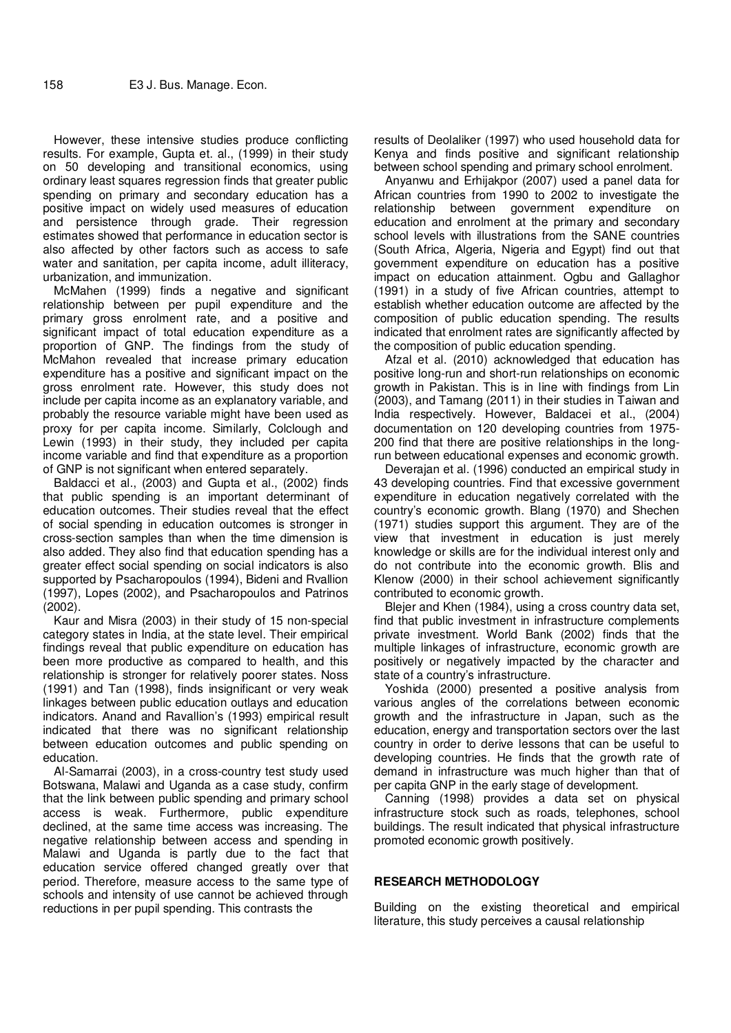However, these intensive studies produce conflicting results. For example, Gupta et. al., (1999) in their study on 50 developing and transitional economics, using ordinary least squares regression finds that greater public spending on primary and secondary education has a positive impact on widely used measures of education and persistence through grade. Their regression estimates showed that performance in education sector is also affected by other factors such as access to safe water and sanitation, per capita income, adult illiteracy, urbanization, and immunization.

McMahen (1999) finds a negative and significant relationship between per pupil expenditure and the primary gross enrolment rate, and a positive and significant impact of total education expenditure as a proportion of GNP. The findings from the study of McMahon revealed that increase primary education expenditure has a positive and significant impact on the gross enrolment rate. However, this study does not include per capita income as an explanatory variable, and probably the resource variable might have been used as proxy for per capita income. Similarly, Colclough and Lewin (1993) in their study, they included per capita income variable and find that expenditure as a proportion of GNP is not significant when entered separately.

Baldacci et al., (2003) and Gupta et al., (2002) finds that public spending is an important determinant of education outcomes. Their studies reveal that the effect of social spending in education outcomes is stronger in cross-section samples than when the time dimension is also added. They also find that education spending has a greater effect social spending on social indicators is also supported by Psacharopoulos (1994), Bideni and Rvallion (1997), Lopes (2002), and Psacharopoulos and Patrinos (2002).

Kaur and Misra (2003) in their study of 15 non-special category states in India, at the state level. Their empirical findings reveal that public expenditure on education has been more productive as compared to health, and this relationship is stronger for relatively poorer states. Noss (1991) and Tan (1998), finds insignificant or very weak linkages between public education outlays and education indicators. Anand and Ravallion's (1993) empirical result indicated that there was no significant relationship between education outcomes and public spending on education.

Al-Samarrai (2003), in a cross-country test study used Botswana, Malawi and Uganda as a case study, confirm that the link between public spending and primary school access is weak. Furthermore, public expenditure declined, at the same time access was increasing. The negative relationship between access and spending in Malawi and Uganda is partly due to the fact that education service offered changed greatly over that period. Therefore, measure access to the same type of schools and intensity of use cannot be achieved through reductions in per pupil spending. This contrasts the

results of Deolaliker (1997) who used household data for Kenya and finds positive and significant relationship between school spending and primary school enrolment.

Anyanwu and Erhijakpor (2007) used a panel data for African countries from 1990 to 2002 to investigate the relationship between government expenditure on education and enrolment at the primary and secondary school levels with illustrations from the SANE countries (South Africa, Algeria, Nigeria and Egypt) find out that government expenditure on education has a positive impact on education attainment. Ogbu and Gallaghor (1991) in a study of five African countries, attempt to establish whether education outcome are affected by the composition of public education spending. The results indicated that enrolment rates are significantly affected by the composition of public education spending.

Afzal et al. (2010) acknowledged that education has positive long-run and short-run relationships on economic growth in Pakistan. This is in line with findings from Lin (2003), and Tamang (2011) in their studies in Taiwan and India respectively. However, Baldacei et al., (2004) documentation on 120 developing countries from 1975- 200 find that there are positive relationships in the longrun between educational expenses and economic growth.

Deverajan et al. (1996) conducted an empirical study in 43 developing countries. Find that excessive government expenditure in education negatively correlated with the country's economic growth. Blang (1970) and Shechen (1971) studies support this argument. They are of the view that investment in education is just merely knowledge or skills are for the individual interest only and do not contribute into the economic growth. Blis and Klenow (2000) in their school achievement significantly contributed to economic growth.

Blejer and Khen (1984), using a cross country data set, find that public investment in infrastructure complements private investment. World Bank (2002) finds that the multiple linkages of infrastructure, economic growth are positively or negatively impacted by the character and state of a country's infrastructure.

Yoshida (2000) presented a positive analysis from various angles of the correlations between economic growth and the infrastructure in Japan, such as the education, energy and transportation sectors over the last country in order to derive lessons that can be useful to developing countries. He finds that the growth rate of demand in infrastructure was much higher than that of per capita GNP in the early stage of development.

Canning (1998) provides a data set on physical infrastructure stock such as roads, telephones, school buildings. The result indicated that physical infrastructure promoted economic growth positively.

#### **RESEARCH METHODOLOGY**

Building on the existing theoretical and empirical literature, this study perceives a causal relationship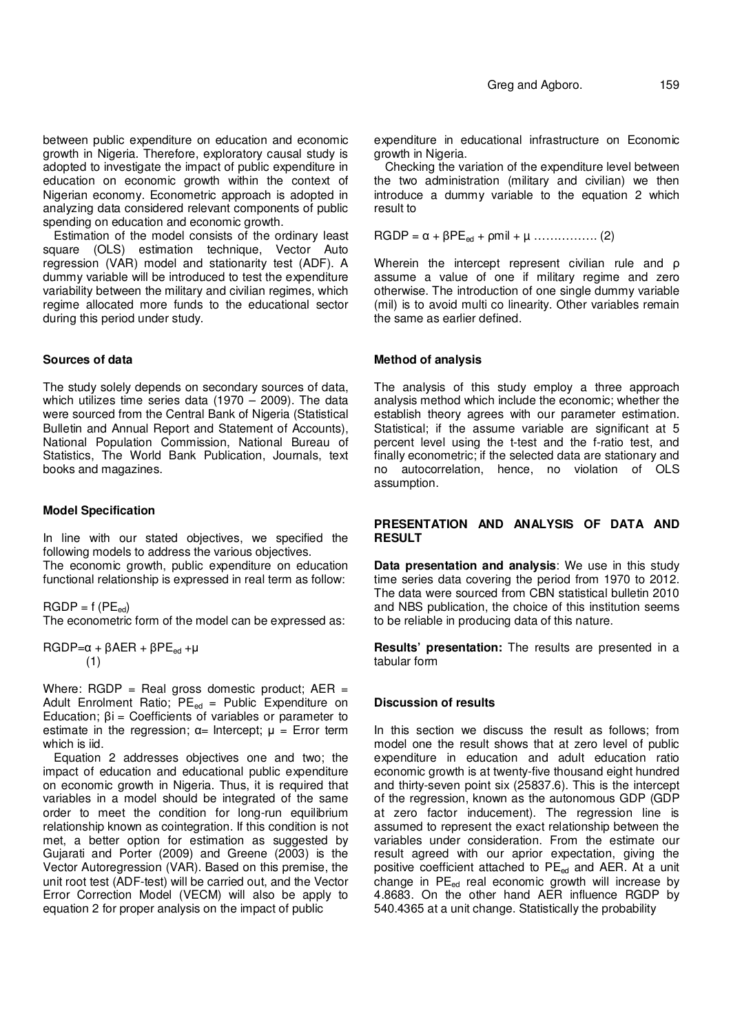between public expenditure on education and economic growth in Nigeria. Therefore, exploratory causal study is adopted to investigate the impact of public expenditure in education on economic growth within the context of Nigerian economy. Econometric approach is adopted in analyzing data considered relevant components of public spending on education and economic growth.

Estimation of the model consists of the ordinary least square (OLS) estimation technique, Vector Auto regression (VAR) model and stationarity test (ADF). A dummy variable will be introduced to test the expenditure variability between the military and civilian regimes, which regime allocated more funds to the educational sector during this period under study.

### **Sources of data**

The study solely depends on secondary sources of data, which utilizes time series data  $(1970 - 2009)$ . The data were sourced from the Central Bank of Nigeria (Statistical Bulletin and Annual Report and Statement of Accounts), National Population Commission, National Bureau of Statistics, The World Bank Publication, Journals, text books and magazines.

#### **Model Specification**

In line with our stated objectives, we specified the following models to address the various objectives. The economic growth, public expenditure on education functional relationship is expressed in real term as follow:

 $RGDP = f (PE_{ed})$ 

The econometric form of the model can be expressed as:

RGDP= $α + βAER + βPE<sub>ed</sub> + μ$ (1)

Where:  $RGDP = Real gross domestic product$ ;  $AER =$ Adult Enrolment Ratio;  $PE_{ed}$  = Public Expenditure on Education;  $βi = Coefficients of variables or parameter to$ estimate in the regression;  $\alpha$ = Intercept;  $\mu$  = Error term which is *iid*.

Equation 2 addresses objectives one and two; the impact of education and educational public expenditure on economic growth in Nigeria. Thus, it is required that variables in a model should be integrated of the same order to meet the condition for long-run equilibrium relationship known as cointegration. If this condition is not met, a better option for estimation as suggested by Gujarati and Porter (2009) and Greene (2003) is the Vector Autoregression (VAR). Based on this premise, the unit root test (ADF-test) will be carried out, and the Vector Error Correction Model (VECM) will also be apply to equation 2 for proper analysis on the impact of public

expenditure in educational infrastructure on Economic growth in Nigeria.

Checking the variation of the expenditure level between the two administration (military and civilian) we then introduce a dummy variable to the equation 2 which result to

 $RGDP = α + βPE_{ed} + pmil + μ$  ................(2)

Wherein the intercept represent civilian rule and ρ assume a value of one if military regime and zero otherwise. The introduction of one single dummy variable (mil) is to avoid multi co linearity. Other variables remain the same as earlier defined.

## **Method of analysis**

The analysis of this study employ a three approach analysis method which include the economic; whether the establish theory agrees with our parameter estimation. Statistical; if the assume variable are significant at 5 percent level using the t-test and the f-ratio test, and finally econometric; if the selected data are stationary and no autocorrelation, hence, no violation of OLS assumption.

## **PRESENTATION AND ANALYSIS OF DATA AND RESULT**

**Data presentation and analysis**: We use in this study time series data covering the period from 1970 to 2012. The data were sourced from CBN statistical bulletin 2010 and NBS publication, the choice of this institution seems to be reliable in producing data of this nature.

**Results' presentation:** The results are presented in a tabular form

## **Discussion of results**

In this section we discuss the result as follows; from model one the result shows that at zero level of public expenditure in education and adult education ratio economic growth is at twenty-five thousand eight hundred and thirty-seven point six (25837.6). This is the intercept of the regression, known as the autonomous GDP (GDP at zero factor inducement). The regression line is assumed to represent the exact relationship between the variables under consideration. From the estimate our result agreed with our aprior expectation, giving the positive coefficient attached to PE<sub>ed</sub> and AER. At a unit change in  $PE_{ed}$  real economic growth will increase by 4.8683. On the other hand AER influence RGDP by 540.4365 at a unit change. Statistically the probability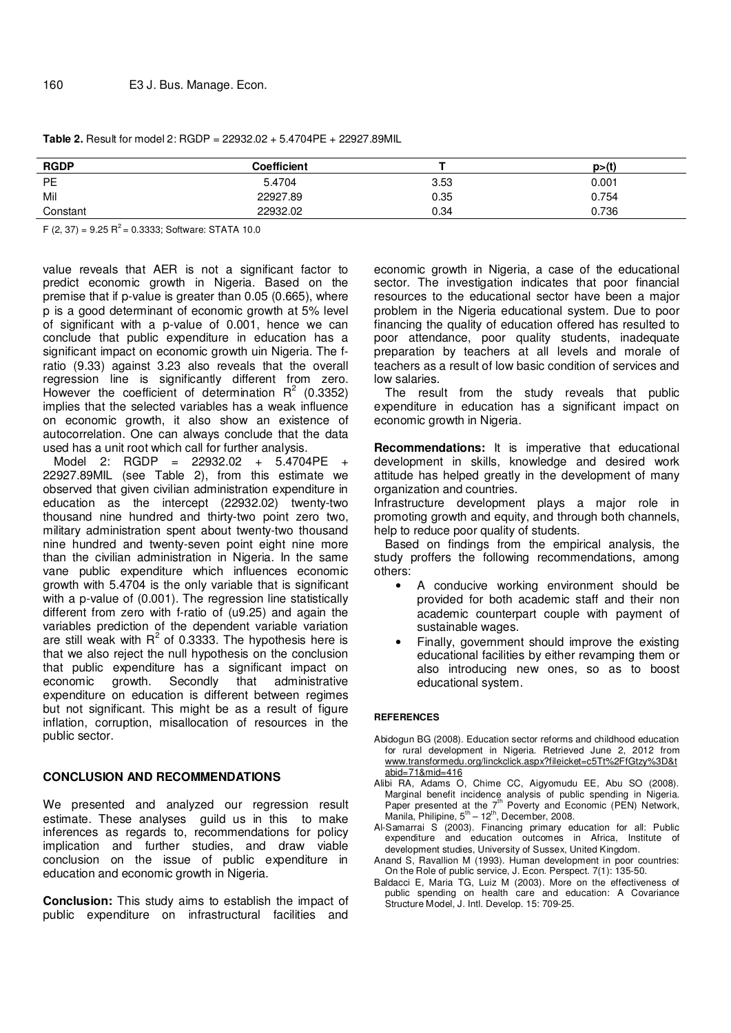| <b>RGDP</b> | Coefficient |      | p>(t) |
|-------------|-------------|------|-------|
| PE          | 5.4704      | 3.53 | 0.001 |
| Mil         | 22927.89    | 0.35 | 0.754 |
| Constant    | 22932.02    | 0.34 | 0.736 |

**Table 2.** Result for model 2: RGDP = 22932.02 + 5.4704PE + 22927.89MIL

F (2, 37) =  $9.25$  R<sup>2</sup> = 0.3333; Software: STATA 10.0

value reveals that AER is not a significant factor to predict economic growth in Nigeria. Based on the premise that if p-value is greater than 0.05 (0.665), where p is a good determinant of economic growth at 5% level of significant with a p-value of 0.001, hence we can conclude that public expenditure in education has a significant impact on economic growth uin Nigeria. The fratio (9.33) against 3.23 also reveals that the overall regression line is significantly different from zero. However the coefficient of determination  $R^2$  (0.3352) implies that the selected variables has a weak influence on economic growth, it also show an existence of autocorrelation. One can always conclude that the data used has a unit root which call for further analysis.

Model 2: RGDP = 22932.02 + 5.4704PE + 22927.89MIL (see Table 2), from this estimate we observed that given civilian administration expenditure in education as the intercept (22932.02) twenty-two thousand nine hundred and thirty-two point zero two, military administration spent about twenty-two thousand nine hundred and twenty-seven point eight nine more than the civilian administration in Nigeria. In the same vane public expenditure which influences economic growth with 5.4704 is the only variable that is significant with a p-value of (0.001). The regression line statistically different from zero with f-ratio of (u9.25) and again the variables prediction of the dependent variable variation are still weak with  $R^2$  of 0.3333. The hypothesis here is that we also reject the null hypothesis on the conclusion that public expenditure has a significant impact on economic growth. Secondly that administrative expenditure on education is different between regimes but not significant. This might be as a result of figure inflation, corruption, misallocation of resources in the public sector.

#### **CONCLUSION AND RECOMMENDATIONS**

We presented and analyzed our regression result estimate. These analyses guild us in this to make inferences as regards to, recommendations for policy implication and further studies, and draw viable conclusion on the issue of public expenditure in education and economic growth in Nigeria.

**Conclusion:** This study aims to establish the impact of public expenditure on infrastructural facilities and economic growth in Nigeria, a case of the educational sector. The investigation indicates that poor financial resources to the educational sector have been a major problem in the Nigeria educational system. Due to poor financing the quality of education offered has resulted to poor attendance, poor quality students, inadequate preparation by teachers at all levels and morale of teachers as a result of low basic condition of services and low salaries.

The result from the study reveals that public expenditure in education has a significant impact on economic growth in Nigeria.

**Recommendations:** It is imperative that educational development in skills, knowledge and desired work attitude has helped greatly in the development of many organization and countries.

Infrastructure development plays a major role in promoting growth and equity, and through both channels, help to reduce poor quality of students.

Based on findings from the empirical analysis, the study proffers the following recommendations, among others:

- A conducive working environment should be provided for both academic staff and their non academic counterpart couple with payment of sustainable wages.
- Finally, government should improve the existing educational facilities by either revamping them or also introducing new ones, so as to boost educational system.

#### **REFERENCES**

- Abidogun BG (2008). Education sector reforms and childhood education for rural development in Nigeria. Retrieved June 2, 2012 from www.transformedu.org/linckclick.aspx?fileicket=c5Tt%2FfGtzy%3D&t abid=71&mid=416
- Alibi RA, Adams O, Chime CC, Aigyomudu EE, Abu SO (2008). Marginal benefit incidence analysis of public spending in Nigeria.<br>Paper presented at the 7<sup>th</sup> Poverty and Economic (PEN) Network, Manila, Philipine, 5<sup>th</sup> – 12<sup>th</sup>, December, 2008.
- Al-Samarrai S (2003). Financing primary education for all: Public expenditure and education outcomes in Africa, Institute of development studies, University of Sussex, United Kingdom.
- Anand S, Ravallion M (1993). Human development in poor countries: On the Role of public service, J. Econ. Perspect. 7(1): 135-50.
- Baldacci E, Maria TG, Luiz M (2003). More on the effectiveness of public spending on health care and education: A Covariance Structure Model, J. Intl. Develop. 15: 709-25.